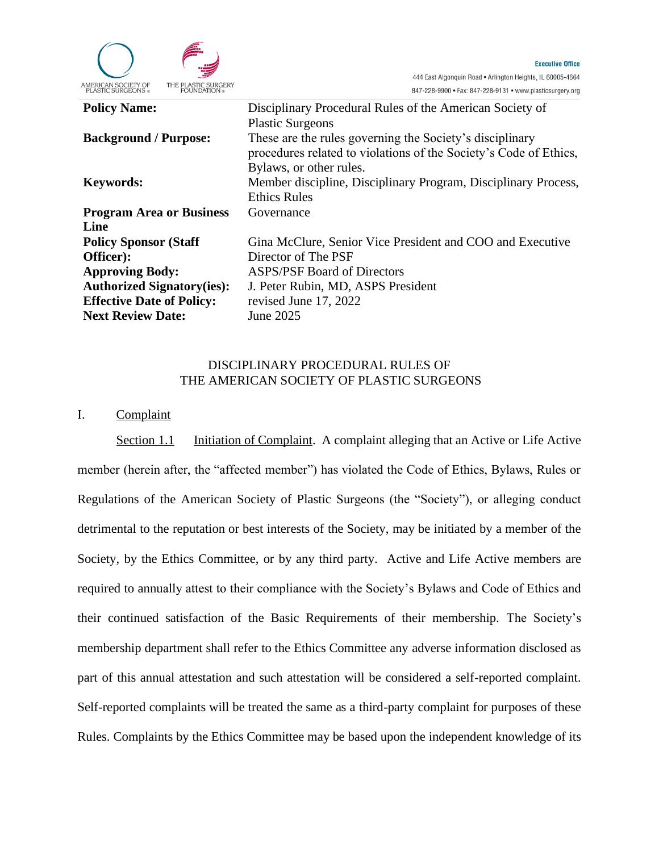

| <b>Policy Name:</b>               | Disciplinary Procedural Rules of the American Society of          |
|-----------------------------------|-------------------------------------------------------------------|
|                                   | <b>Plastic Surgeons</b>                                           |
| <b>Background / Purpose:</b>      | These are the rules governing the Society's disciplinary          |
|                                   | procedures related to violations of the Society's Code of Ethics, |
|                                   | Bylaws, or other rules.                                           |
| <b>Keywords:</b>                  | Member discipline, Disciplinary Program, Disciplinary Process,    |
|                                   | <b>Ethics Rules</b>                                               |
| <b>Program Area or Business</b>   | Governance                                                        |
| Line                              |                                                                   |
| <b>Policy Sponsor (Staff)</b>     | Gina McClure, Senior Vice President and COO and Executive         |
| Officer):                         | Director of The PSF                                               |
| <b>Approving Body:</b>            | <b>ASPS/PSF Board of Directors</b>                                |
| <b>Authorized Signatory(ies):</b> | J. Peter Rubin, MD, ASPS President                                |
| <b>Effective Date of Policy:</b>  | revised June 17, 2022                                             |
| <b>Next Review Date:</b>          | June 2025                                                         |
|                                   |                                                                   |

## DISCIPLINARY PROCEDURAL RULES OF THE AMERICAN SOCIETY OF PLASTIC SURGEONS

## I. Complaint

Section 1.1 Initiation of Complaint. A complaint alleging that an Active or Life Active member (herein after, the "affected member") has violated the Code of Ethics, Bylaws, Rules or Regulations of the American Society of Plastic Surgeons (the "Society"), or alleging conduct detrimental to the reputation or best interests of the Society, may be initiated by a member of the Society, by the Ethics Committee, or by any third party. Active and Life Active members are required to annually attest to their compliance with the Society's Bylaws and Code of Ethics and their continued satisfaction of the Basic Requirements of their membership. The Society's membership department shall refer to the Ethics Committee any adverse information disclosed as part of this annual attestation and such attestation will be considered a self-reported complaint. Self-reported complaints will be treated the same as a third-party complaint for purposes of these Rules. Complaints by the Ethics Committee may be based upon the independent knowledge of its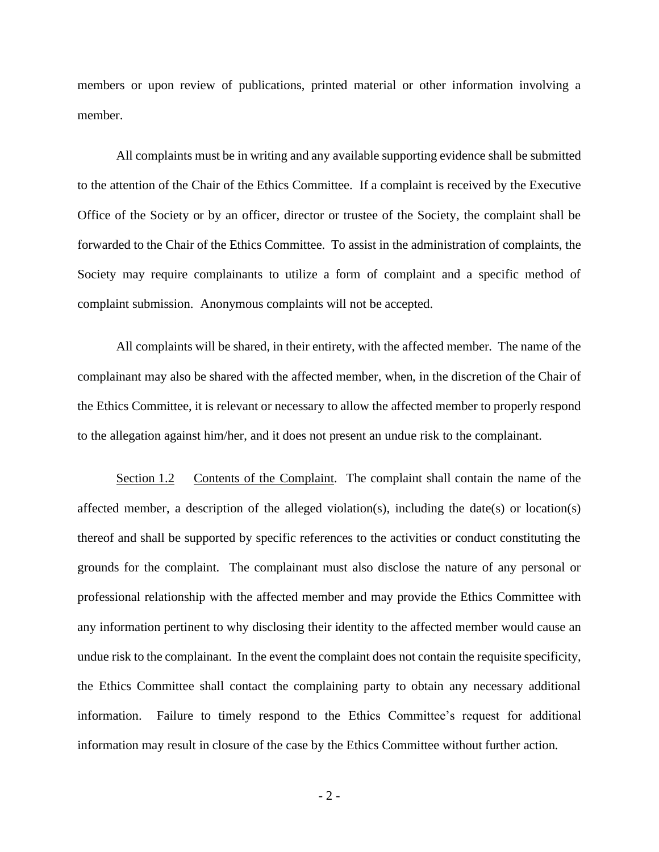members or upon review of publications, printed material or other information involving a member.

All complaints must be in writing and any available supporting evidence shall be submitted to the attention of the Chair of the Ethics Committee. If a complaint is received by the Executive Office of the Society or by an officer, director or trustee of the Society, the complaint shall be forwarded to the Chair of the Ethics Committee. To assist in the administration of complaints, the Society may require complainants to utilize a form of complaint and a specific method of complaint submission. Anonymous complaints will not be accepted.

All complaints will be shared, in their entirety, with the affected member. The name of the complainant may also be shared with the affected member, when, in the discretion of the Chair of the Ethics Committee, it is relevant or necessary to allow the affected member to properly respond to the allegation against him/her, and it does not present an undue risk to the complainant.

Section 1.2 Contents of the Complaint. The complaint shall contain the name of the affected member, a description of the alleged violation(s), including the date(s) or location(s) thereof and shall be supported by specific references to the activities or conduct constituting the grounds for the complaint. The complainant must also disclose the nature of any personal or professional relationship with the affected member and may provide the Ethics Committee with any information pertinent to why disclosing their identity to the affected member would cause an undue risk to the complainant. In the event the complaint does not contain the requisite specificity, the Ethics Committee shall contact the complaining party to obtain any necessary additional information. Failure to timely respond to the Ethics Committee's request for additional information may result in closure of the case by the Ethics Committee without further action.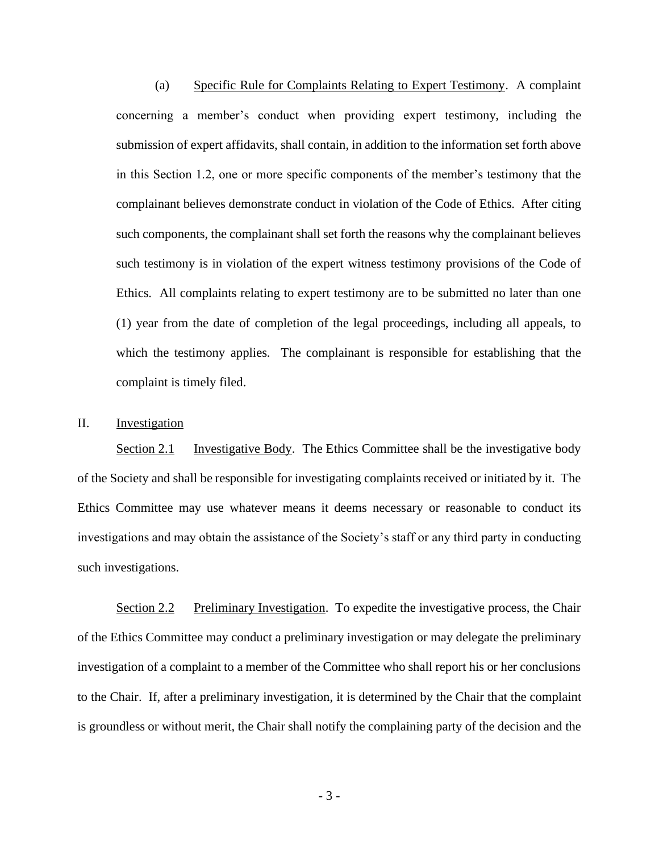(a) Specific Rule for Complaints Relating to Expert Testimony. A complaint concerning a member's conduct when providing expert testimony, including the submission of expert affidavits, shall contain, in addition to the information set forth above in this Section 1.2, one or more specific components of the member's testimony that the complainant believes demonstrate conduct in violation of the Code of Ethics. After citing such components, the complainant shall set forth the reasons why the complainant believes such testimony is in violation of the expert witness testimony provisions of the Code of Ethics. All complaints relating to expert testimony are to be submitted no later than one (1) year from the date of completion of the legal proceedings, including all appeals, to which the testimony applies. The complainant is responsible for establishing that the complaint is timely filed.

## II. Investigation

Section 2.1 Investigative Body. The Ethics Committee shall be the investigative body of the Society and shall be responsible for investigating complaints received or initiated by it. The Ethics Committee may use whatever means it deems necessary or reasonable to conduct its investigations and may obtain the assistance of the Society's staff or any third party in conducting such investigations.

Section 2.2 Preliminary Investigation. To expedite the investigative process, the Chair of the Ethics Committee may conduct a preliminary investigation or may delegate the preliminary investigation of a complaint to a member of the Committee who shall report his or her conclusions to the Chair. If, after a preliminary investigation, it is determined by the Chair that the complaint is groundless or without merit, the Chair shall notify the complaining party of the decision and the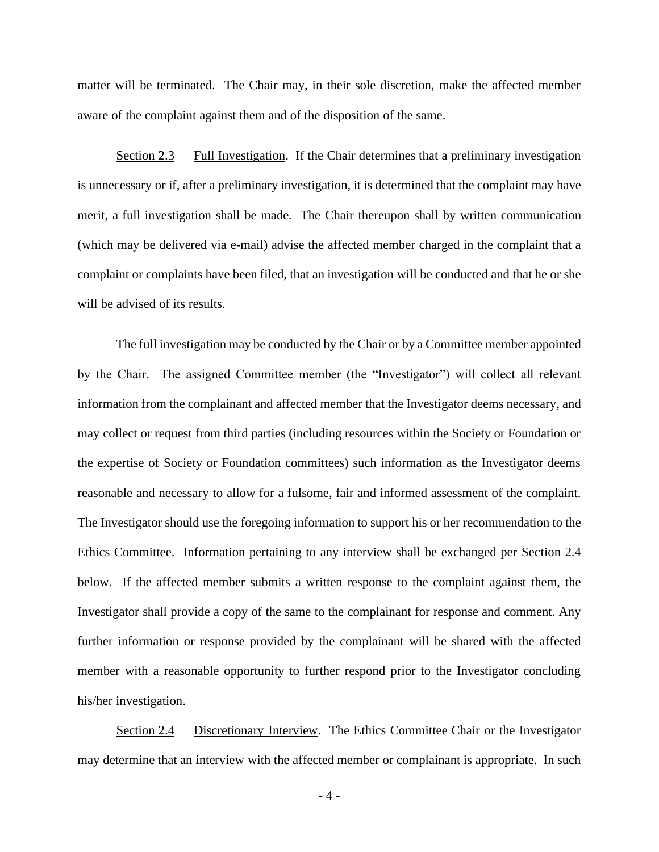matter will be terminated. The Chair may, in their sole discretion, make the affected member aware of the complaint against them and of the disposition of the same.

Section 2.3 Full Investigation. If the Chair determines that a preliminary investigation is unnecessary or if, after a preliminary investigation, it is determined that the complaint may have merit, a full investigation shall be made. The Chair thereupon shall by written communication (which may be delivered via e-mail) advise the affected member charged in the complaint that a complaint or complaints have been filed, that an investigation will be conducted and that he or she will be advised of its results.

The full investigation may be conducted by the Chair or by a Committee member appointed by the Chair. The assigned Committee member (the "Investigator") will collect all relevant information from the complainant and affected member that the Investigator deems necessary, and may collect or request from third parties (including resources within the Society or Foundation or the expertise of Society or Foundation committees) such information as the Investigator deems reasonable and necessary to allow for a fulsome, fair and informed assessment of the complaint. The Investigator should use the foregoing information to support his or her recommendation to the Ethics Committee. Information pertaining to any interview shall be exchanged per Section 2.4 below. If the affected member submits a written response to the complaint against them, the Investigator shall provide a copy of the same to the complainant for response and comment. Any further information or response provided by the complainant will be shared with the affected member with a reasonable opportunity to further respond prior to the Investigator concluding his/her investigation.

Section 2.4 Discretionary Interview. The Ethics Committee Chair or the Investigator may determine that an interview with the affected member or complainant is appropriate. In such

 $-4-$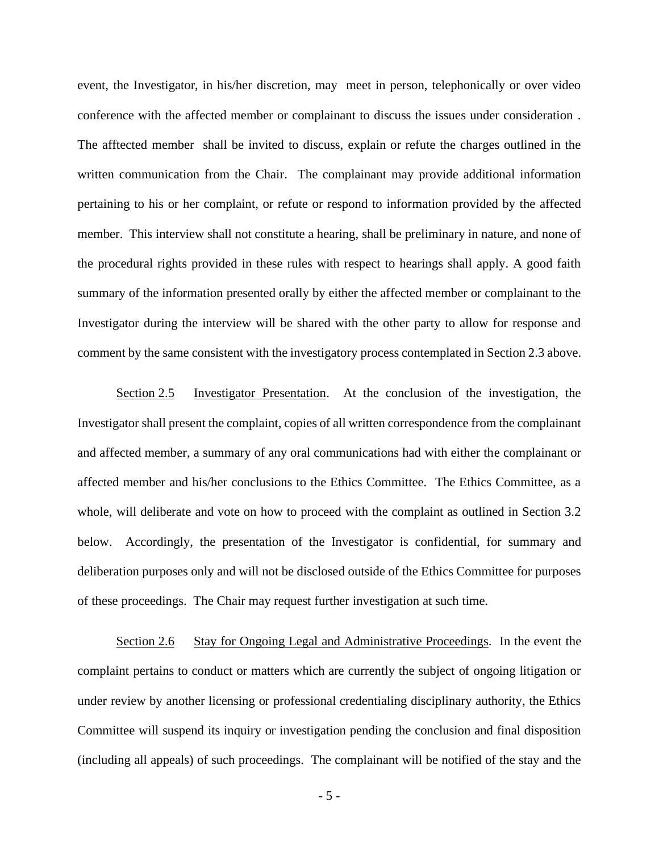event, the Investigator, in his/her discretion, may meet in person, telephonically or over video conference with the affected member or complainant to discuss the issues under consideration . The afftected member shall be invited to discuss, explain or refute the charges outlined in the written communication from the Chair. The complainant may provide additional information pertaining to his or her complaint, or refute or respond to information provided by the affected member. This interview shall not constitute a hearing, shall be preliminary in nature, and none of the procedural rights provided in these rules with respect to hearings shall apply. A good faith summary of the information presented orally by either the affected member or complainant to the Investigator during the interview will be shared with the other party to allow for response and comment by the same consistent with the investigatory process contemplated in Section 2.3 above.

Section 2.5 Investigator Presentation. At the conclusion of the investigation, the Investigator shall present the complaint, copies of all written correspondence from the complainant and affected member, a summary of any oral communications had with either the complainant or affected member and his/her conclusions to the Ethics Committee. The Ethics Committee, as a whole, will deliberate and vote on how to proceed with the complaint as outlined in Section 3.2 below. Accordingly, the presentation of the Investigator is confidential, for summary and deliberation purposes only and will not be disclosed outside of the Ethics Committee for purposes of these proceedings. The Chair may request further investigation at such time.

Section 2.6 Stay for Ongoing Legal and Administrative Proceedings. In the event the complaint pertains to conduct or matters which are currently the subject of ongoing litigation or under review by another licensing or professional credentialing disciplinary authority, the Ethics Committee will suspend its inquiry or investigation pending the conclusion and final disposition (including all appeals) of such proceedings. The complainant will be notified of the stay and the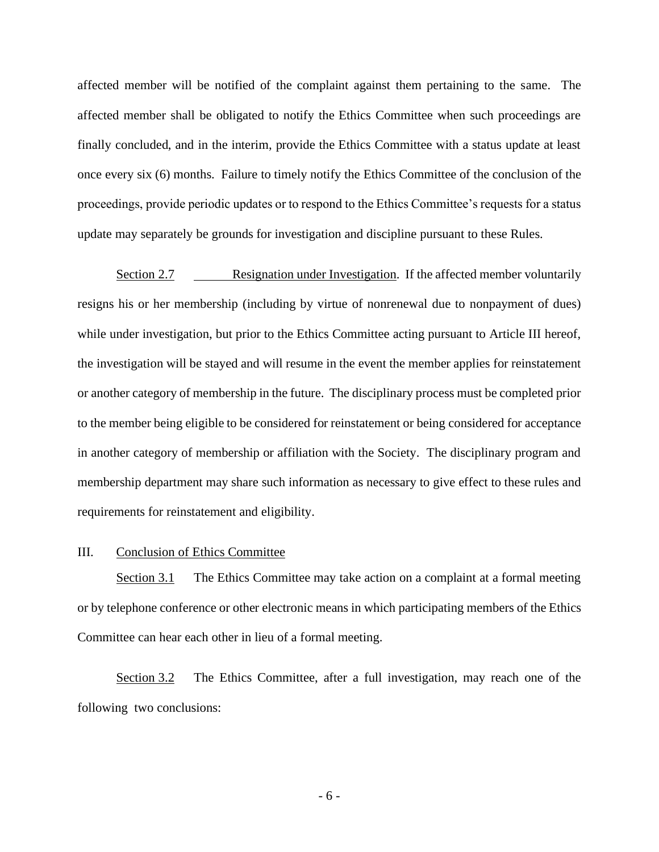affected member will be notified of the complaint against them pertaining to the same. The affected member shall be obligated to notify the Ethics Committee when such proceedings are finally concluded, and in the interim, provide the Ethics Committee with a status update at least once every six (6) months. Failure to timely notify the Ethics Committee of the conclusion of the proceedings, provide periodic updates or to respond to the Ethics Committee's requests for a status update may separately be grounds for investigation and discipline pursuant to these Rules.

Section 2.7 Resignation under Investigation. If the affected member voluntarily resigns his or her membership (including by virtue of nonrenewal due to nonpayment of dues) while under investigation, but prior to the Ethics Committee acting pursuant to Article III hereof, the investigation will be stayed and will resume in the event the member applies for reinstatement or another category of membership in the future. The disciplinary process must be completed prior to the member being eligible to be considered for reinstatement or being considered for acceptance in another category of membership or affiliation with the Society. The disciplinary program and membership department may share such information as necessary to give effect to these rules and requirements for reinstatement and eligibility.

# III. Conclusion of Ethics Committee

Section 3.1 The Ethics Committee may take action on a complaint at a formal meeting or by telephone conference or other electronic means in which participating members of the Ethics Committee can hear each other in lieu of a formal meeting.

Section 3.2 The Ethics Committee, after a full investigation, may reach one of the following two conclusions: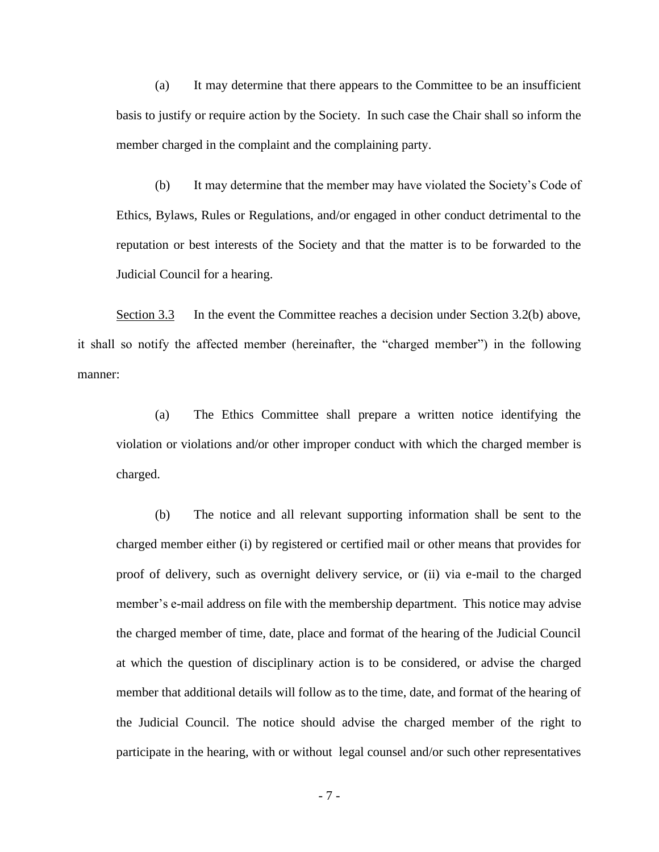(a) It may determine that there appears to the Committee to be an insufficient basis to justify or require action by the Society. In such case the Chair shall so inform the member charged in the complaint and the complaining party.

(b) It may determine that the member may have violated the Society's Code of Ethics, Bylaws, Rules or Regulations, and/or engaged in other conduct detrimental to the reputation or best interests of the Society and that the matter is to be forwarded to the Judicial Council for a hearing.

Section 3.3 In the event the Committee reaches a decision under Section 3.2(b) above, it shall so notify the affected member (hereinafter, the "charged member") in the following manner:

(a) The Ethics Committee shall prepare a written notice identifying the violation or violations and/or other improper conduct with which the charged member is charged.

(b) The notice and all relevant supporting information shall be sent to the charged member either (i) by registered or certified mail or other means that provides for proof of delivery, such as overnight delivery service, or (ii) via e-mail to the charged member's e-mail address on file with the membership department. This notice may advise the charged member of time, date, place and format of the hearing of the Judicial Council at which the question of disciplinary action is to be considered, or advise the charged member that additional details will follow as to the time, date, and format of the hearing of the Judicial Council. The notice should advise the charged member of the right to participate in the hearing, with or without legal counsel and/or such other representatives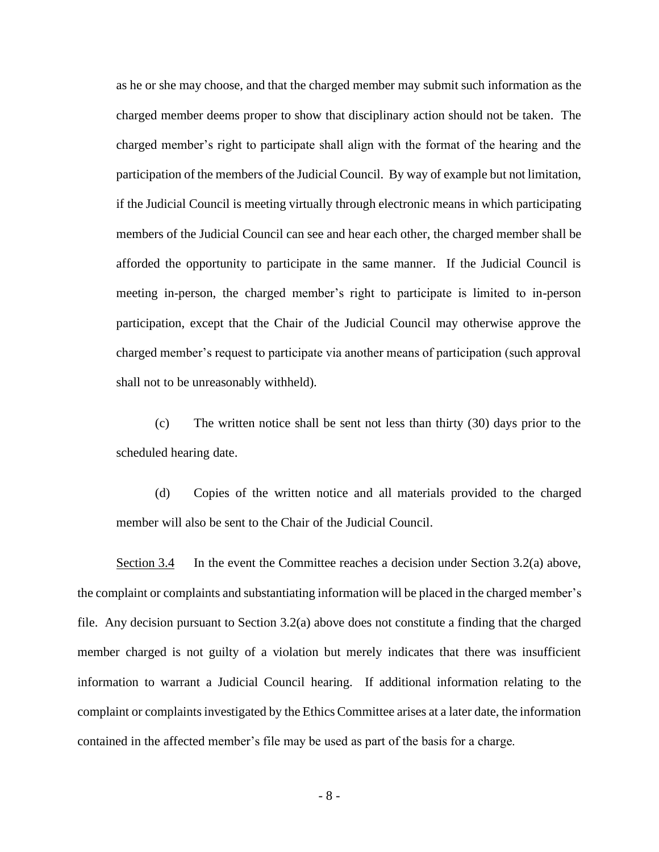as he or she may choose, and that the charged member may submit such information as the charged member deems proper to show that disciplinary action should not be taken. The charged member's right to participate shall align with the format of the hearing and the participation of the members of the Judicial Council. By way of example but not limitation, if the Judicial Council is meeting virtually through electronic means in which participating members of the Judicial Council can see and hear each other, the charged member shall be afforded the opportunity to participate in the same manner. If the Judicial Council is meeting in-person, the charged member's right to participate is limited to in-person participation, except that the Chair of the Judicial Council may otherwise approve the charged member's request to participate via another means of participation (such approval shall not to be unreasonably withheld).

(c) The written notice shall be sent not less than thirty (30) days prior to the scheduled hearing date.

(d) Copies of the written notice and all materials provided to the charged member will also be sent to the Chair of the Judicial Council.

Section 3.4 In the event the Committee reaches a decision under Section 3.2(a) above, the complaint or complaints and substantiating information will be placed in the charged member's file. Any decision pursuant to Section 3.2(a) above does not constitute a finding that the charged member charged is not guilty of a violation but merely indicates that there was insufficient information to warrant a Judicial Council hearing. If additional information relating to the complaint or complaints investigated by the Ethics Committee arises at a later date, the information contained in the affected member's file may be used as part of the basis for a charge.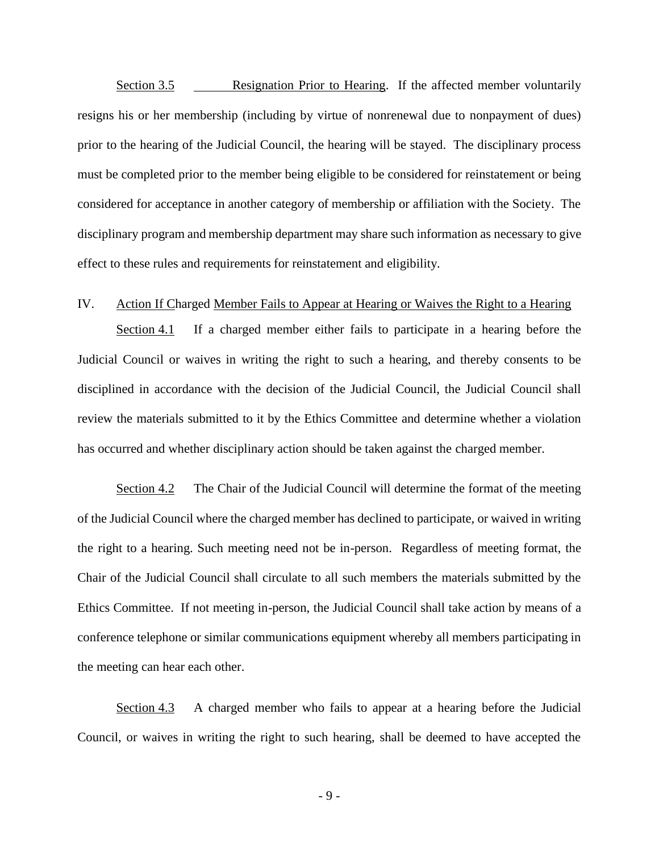Section 3.5 Resignation Prior to Hearing. If the affected member voluntarily resigns his or her membership (including by virtue of nonrenewal due to nonpayment of dues) prior to the hearing of the Judicial Council, the hearing will be stayed. The disciplinary process must be completed prior to the member being eligible to be considered for reinstatement or being considered for acceptance in another category of membership or affiliation with the Society. The disciplinary program and membership department may share such information as necessary to give effect to these rules and requirements for reinstatement and eligibility.

## IV. Action If Charged Member Fails to Appear at Hearing or Waives the Right to a Hearing

Section 4.1 If a charged member either fails to participate in a hearing before the Judicial Council or waives in writing the right to such a hearing, and thereby consents to be disciplined in accordance with the decision of the Judicial Council, the Judicial Council shall review the materials submitted to it by the Ethics Committee and determine whether a violation has occurred and whether disciplinary action should be taken against the charged member.

Section 4.2 The Chair of the Judicial Council will determine the format of the meeting of the Judicial Council where the charged member has declined to participate, or waived in writing the right to a hearing. Such meeting need not be in-person. Regardless of meeting format, the Chair of the Judicial Council shall circulate to all such members the materials submitted by the Ethics Committee. If not meeting in-person, the Judicial Council shall take action by means of a conference telephone or similar communications equipment whereby all members participating in the meeting can hear each other.

Section 4.3 A charged member who fails to appear at a hearing before the Judicial Council, or waives in writing the right to such hearing, shall be deemed to have accepted the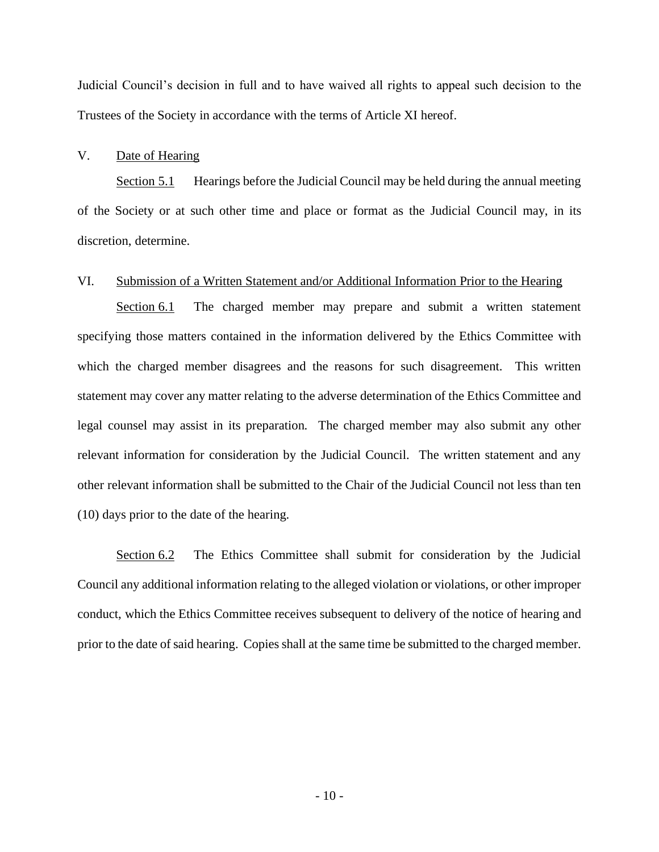Judicial Council's decision in full and to have waived all rights to appeal such decision to the Trustees of the Society in accordance with the terms of Article XI hereof.

### V. Date of Hearing

Section 5.1 Hearings before the Judicial Council may be held during the annual meeting of the Society or at such other time and place or format as the Judicial Council may, in its discretion, determine.

## VI. Submission of a Written Statement and/or Additional Information Prior to the Hearing

Section 6.1 The charged member may prepare and submit a written statement specifying those matters contained in the information delivered by the Ethics Committee with which the charged member disagrees and the reasons for such disagreement. This written statement may cover any matter relating to the adverse determination of the Ethics Committee and legal counsel may assist in its preparation. The charged member may also submit any other relevant information for consideration by the Judicial Council. The written statement and any other relevant information shall be submitted to the Chair of the Judicial Council not less than ten (10) days prior to the date of the hearing.

Section 6.2 The Ethics Committee shall submit for consideration by the Judicial Council any additional information relating to the alleged violation or violations, or other improper conduct, which the Ethics Committee receives subsequent to delivery of the notice of hearing and prior to the date of said hearing. Copies shall at the same time be submitted to the charged member.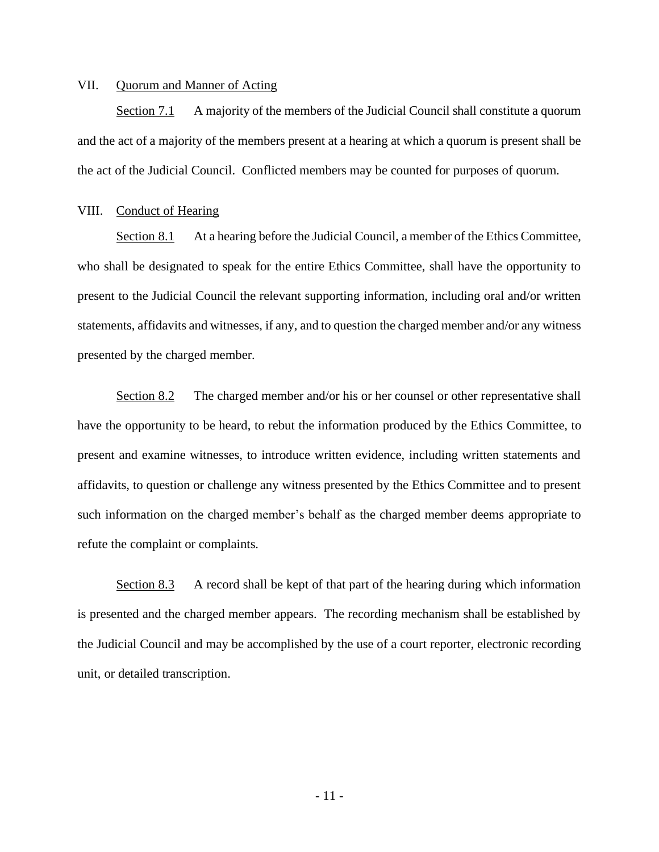### VII. Quorum and Manner of Acting

Section 7.1 A majority of the members of the Judicial Council shall constitute a quorum and the act of a majority of the members present at a hearing at which a quorum is present shall be the act of the Judicial Council. Conflicted members may be counted for purposes of quorum.

#### VIII. Conduct of Hearing

Section 8.1 At a hearing before the Judicial Council, a member of the Ethics Committee, who shall be designated to speak for the entire Ethics Committee, shall have the opportunity to present to the Judicial Council the relevant supporting information, including oral and/or written statements, affidavits and witnesses, if any, and to question the charged member and/or any witness presented by the charged member.

Section 8.2 The charged member and/or his or her counsel or other representative shall have the opportunity to be heard, to rebut the information produced by the Ethics Committee, to present and examine witnesses, to introduce written evidence, including written statements and affidavits, to question or challenge any witness presented by the Ethics Committee and to present such information on the charged member's behalf as the charged member deems appropriate to refute the complaint or complaints.

Section 8.3 A record shall be kept of that part of the hearing during which information is presented and the charged member appears. The recording mechanism shall be established by the Judicial Council and may be accomplished by the use of a court reporter, electronic recording unit, or detailed transcription.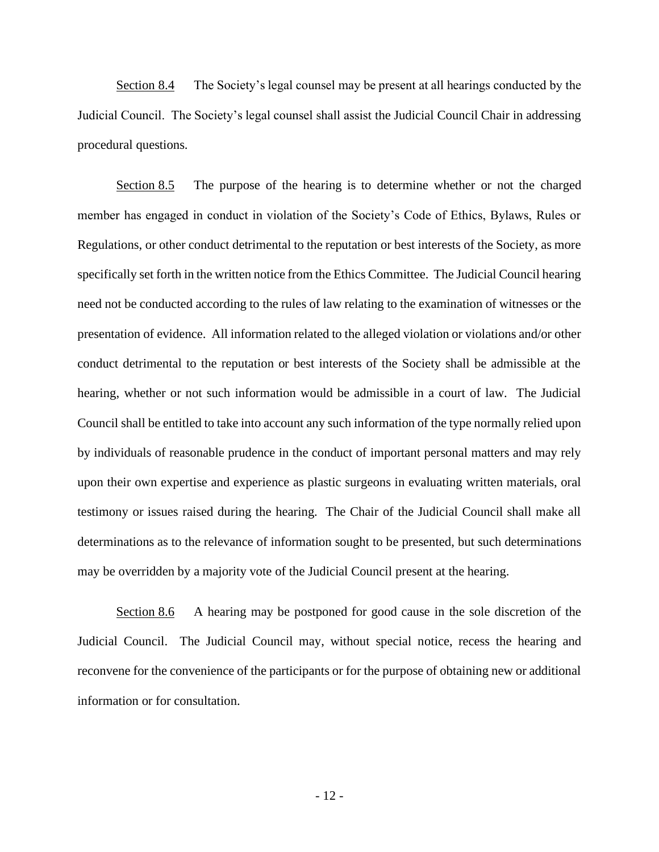Section 8.4 The Society's legal counsel may be present at all hearings conducted by the Judicial Council. The Society's legal counsel shall assist the Judicial Council Chair in addressing procedural questions.

Section 8.5 The purpose of the hearing is to determine whether or not the charged member has engaged in conduct in violation of the Society's Code of Ethics, Bylaws, Rules or Regulations, or other conduct detrimental to the reputation or best interests of the Society, as more specifically set forth in the written notice from the Ethics Committee. The Judicial Council hearing need not be conducted according to the rules of law relating to the examination of witnesses or the presentation of evidence. All information related to the alleged violation or violations and/or other conduct detrimental to the reputation or best interests of the Society shall be admissible at the hearing, whether or not such information would be admissible in a court of law. The Judicial Council shall be entitled to take into account any such information of the type normally relied upon by individuals of reasonable prudence in the conduct of important personal matters and may rely upon their own expertise and experience as plastic surgeons in evaluating written materials, oral testimony or issues raised during the hearing. The Chair of the Judicial Council shall make all determinations as to the relevance of information sought to be presented, but such determinations may be overridden by a majority vote of the Judicial Council present at the hearing.

Section 8.6 A hearing may be postponed for good cause in the sole discretion of the Judicial Council. The Judicial Council may, without special notice, recess the hearing and reconvene for the convenience of the participants or for the purpose of obtaining new or additional information or for consultation.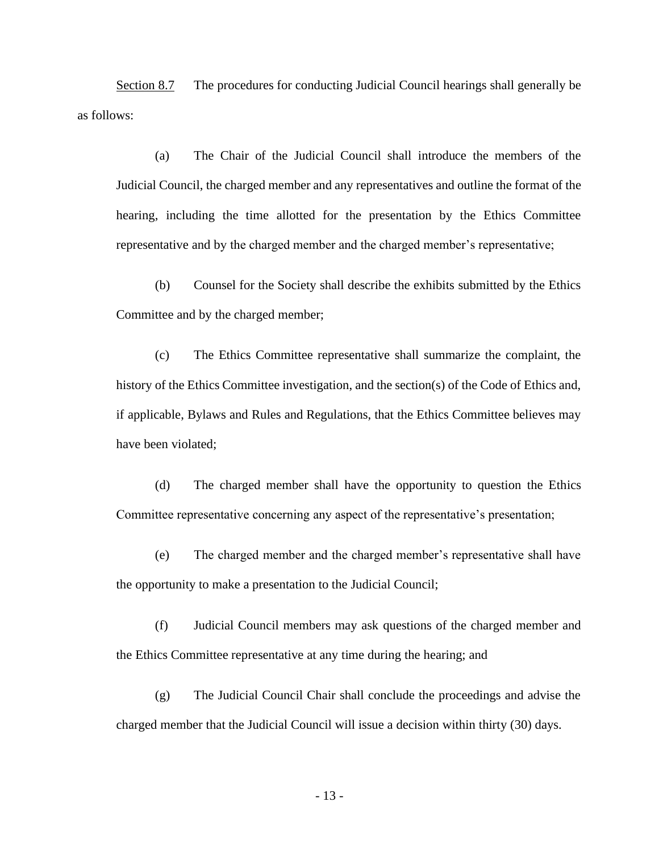Section 8.7 The procedures for conducting Judicial Council hearings shall generally be as follows:

(a) The Chair of the Judicial Council shall introduce the members of the Judicial Council, the charged member and any representatives and outline the format of the hearing, including the time allotted for the presentation by the Ethics Committee representative and by the charged member and the charged member's representative;

(b) Counsel for the Society shall describe the exhibits submitted by the Ethics Committee and by the charged member;

(c) The Ethics Committee representative shall summarize the complaint, the history of the Ethics Committee investigation, and the section(s) of the Code of Ethics and, if applicable, Bylaws and Rules and Regulations, that the Ethics Committee believes may have been violated;

(d) The charged member shall have the opportunity to question the Ethics Committee representative concerning any aspect of the representative's presentation;

(e) The charged member and the charged member's representative shall have the opportunity to make a presentation to the Judicial Council;

(f) Judicial Council members may ask questions of the charged member and the Ethics Committee representative at any time during the hearing; and

(g) The Judicial Council Chair shall conclude the proceedings and advise the charged member that the Judicial Council will issue a decision within thirty (30) days.

- 13 -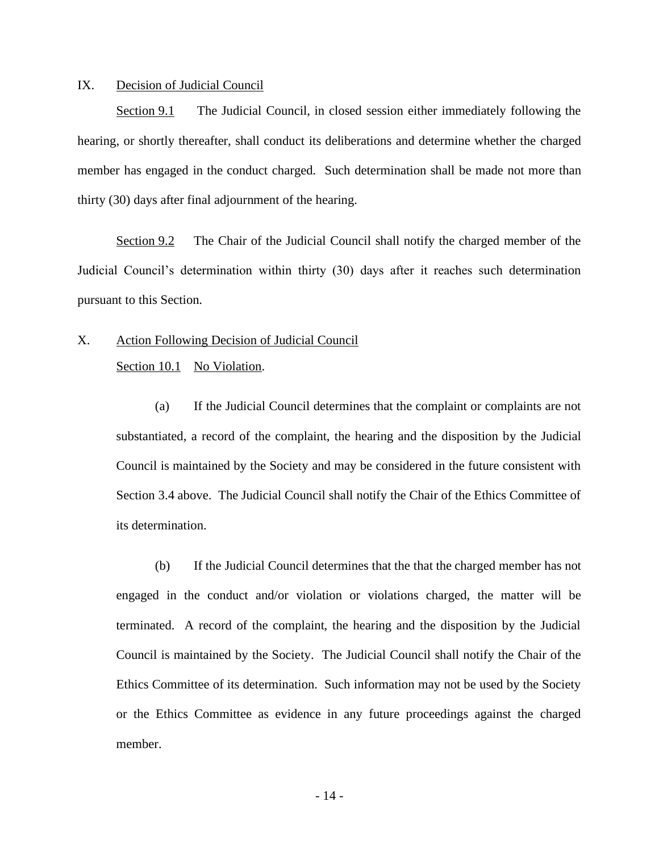### IX. Decision of Judicial Council

Section 9.1 The Judicial Council, in closed session either immediately following the hearing, or shortly thereafter, shall conduct its deliberations and determine whether the charged member has engaged in the conduct charged. Such determination shall be made not more than thirty (30) days after final adjournment of the hearing.

Section 9.2 The Chair of the Judicial Council shall notify the charged member of the Judicial Council's determination within thirty (30) days after it reaches such determination pursuant to this Section.

X. Action Following Decision of Judicial Council

Section 10.1 No Violation.

(a) If the Judicial Council determines that the complaint or complaints are not substantiated, a record of the complaint, the hearing and the disposition by the Judicial Council is maintained by the Society and may be considered in the future consistent with Section 3.4 above. The Judicial Council shall notify the Chair of the Ethics Committee of its determination.

(b) If the Judicial Council determines that the that the charged member has not engaged in the conduct and/or violation or violations charged, the matter will be terminated. A record of the complaint, the hearing and the disposition by the Judicial Council is maintained by the Society. The Judicial Council shall notify the Chair of the Ethics Committee of its determination. Such information may not be used by the Society or the Ethics Committee as evidence in any future proceedings against the charged member.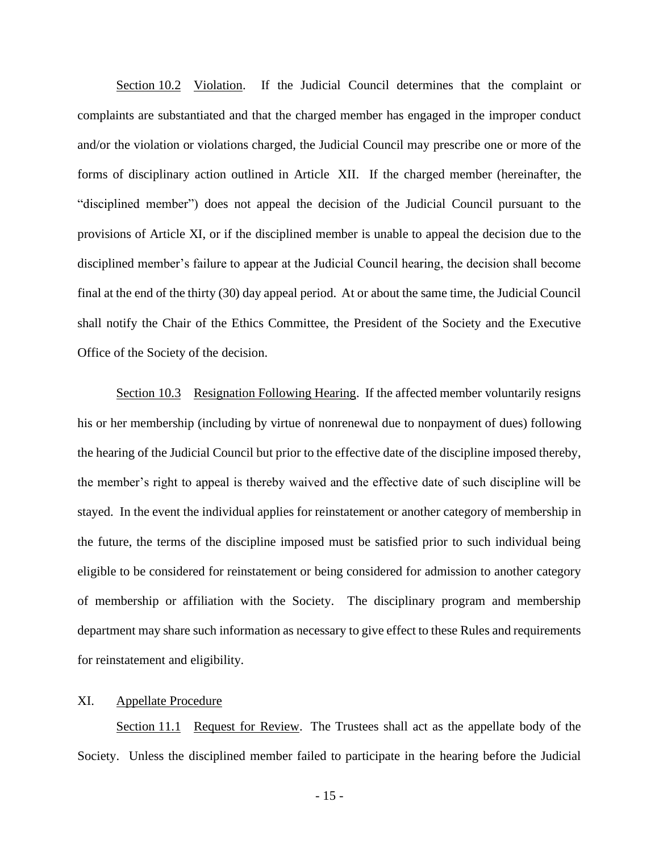Section 10.2 Violation. If the Judicial Council determines that the complaint or complaints are substantiated and that the charged member has engaged in the improper conduct and/or the violation or violations charged, the Judicial Council may prescribe one or more of the forms of disciplinary action outlined in Article XII. If the charged member (hereinafter, the "disciplined member") does not appeal the decision of the Judicial Council pursuant to the provisions of Article XI, or if the disciplined member is unable to appeal the decision due to the disciplined member's failure to appear at the Judicial Council hearing, the decision shall become final at the end of the thirty (30) day appeal period. At or about the same time, the Judicial Council shall notify the Chair of the Ethics Committee, the President of the Society and the Executive Office of the Society of the decision.

Section 10.3 Resignation Following Hearing. If the affected member voluntarily resigns his or her membership (including by virtue of nonrenewal due to nonpayment of dues) following the hearing of the Judicial Council but prior to the effective date of the discipline imposed thereby, the member's right to appeal is thereby waived and the effective date of such discipline will be stayed. In the event the individual applies for reinstatement or another category of membership in the future, the terms of the discipline imposed must be satisfied prior to such individual being eligible to be considered for reinstatement or being considered for admission to another category of membership or affiliation with the Society. The disciplinary program and membership department may share such information as necessary to give effect to these Rules and requirements for reinstatement and eligibility.

## XI. Appellate Procedure

Section 11.1 Request for Review. The Trustees shall act as the appellate body of the Society. Unless the disciplined member failed to participate in the hearing before the Judicial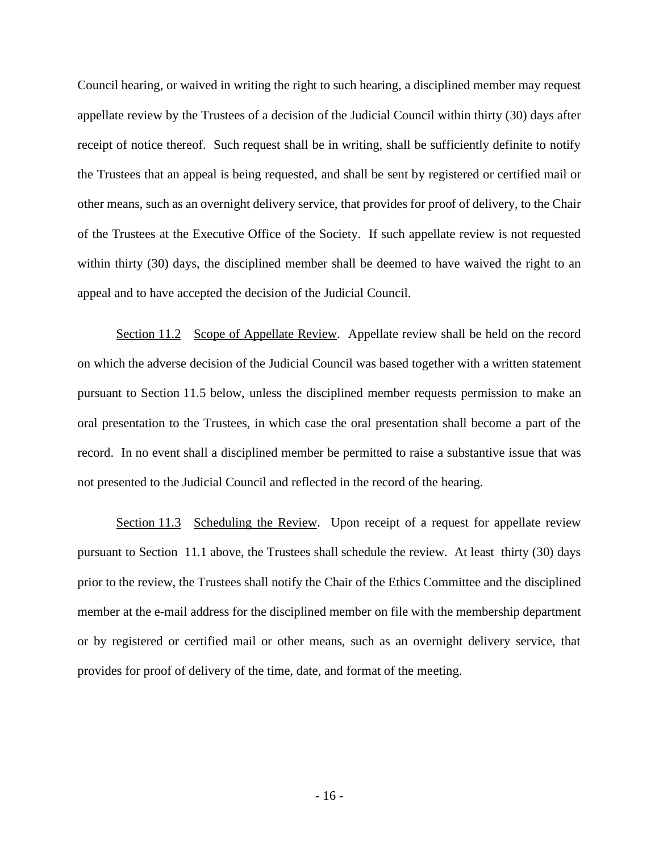Council hearing, or waived in writing the right to such hearing, a disciplined member may request appellate review by the Trustees of a decision of the Judicial Council within thirty (30) days after receipt of notice thereof. Such request shall be in writing, shall be sufficiently definite to notify the Trustees that an appeal is being requested, and shall be sent by registered or certified mail or other means, such as an overnight delivery service, that provides for proof of delivery, to the Chair of the Trustees at the Executive Office of the Society. If such appellate review is not requested within thirty (30) days, the disciplined member shall be deemed to have waived the right to an appeal and to have accepted the decision of the Judicial Council.

Section 11.2 Scope of Appellate Review. Appellate review shall be held on the record on which the adverse decision of the Judicial Council was based together with a written statement pursuant to Section 11.5 below, unless the disciplined member requests permission to make an oral presentation to the Trustees, in which case the oral presentation shall become a part of the record. In no event shall a disciplined member be permitted to raise a substantive issue that was not presented to the Judicial Council and reflected in the record of the hearing.

Section 11.3 Scheduling the Review. Upon receipt of a request for appellate review pursuant to Section 11.1 above, the Trustees shall schedule the review. At least thirty (30) days prior to the review, the Trustees shall notify the Chair of the Ethics Committee and the disciplined member at the e-mail address for the disciplined member on file with the membership department or by registered or certified mail or other means, such as an overnight delivery service, that provides for proof of delivery of the time, date, and format of the meeting.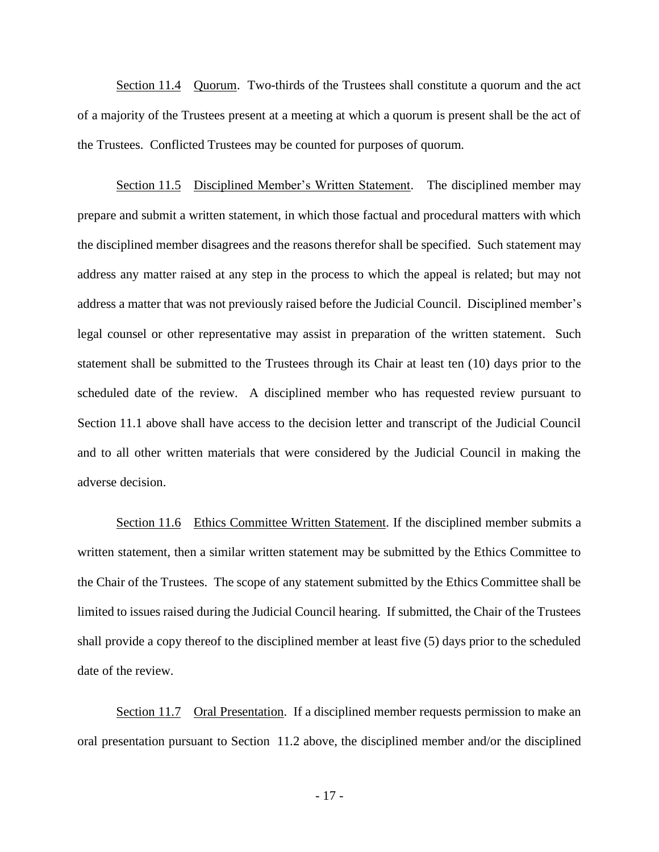Section 11.4 Quorum. Two-thirds of the Trustees shall constitute a quorum and the act of a majority of the Trustees present at a meeting at which a quorum is present shall be the act of the Trustees. Conflicted Trustees may be counted for purposes of quorum.

Section 11.5 Disciplined Member's Written Statement. The disciplined member may prepare and submit a written statement, in which those factual and procedural matters with which the disciplined member disagrees and the reasons therefor shall be specified. Such statement may address any matter raised at any step in the process to which the appeal is related; but may not address a matter that was not previously raised before the Judicial Council. Disciplined member's legal counsel or other representative may assist in preparation of the written statement. Such statement shall be submitted to the Trustees through its Chair at least ten (10) days prior to the scheduled date of the review. A disciplined member who has requested review pursuant to Section 11.1 above shall have access to the decision letter and transcript of the Judicial Council and to all other written materials that were considered by the Judicial Council in making the adverse decision.

Section 11.6 Ethics Committee Written Statement. If the disciplined member submits a written statement, then a similar written statement may be submitted by the Ethics Committee to the Chair of the Trustees. The scope of any statement submitted by the Ethics Committee shall be limited to issues raised during the Judicial Council hearing. If submitted, the Chair of the Trustees shall provide a copy thereof to the disciplined member at least five (5) days prior to the scheduled date of the review.

Section 11.7 Oral Presentation. If a disciplined member requests permission to make an oral presentation pursuant to Section 11.2 above, the disciplined member and/or the disciplined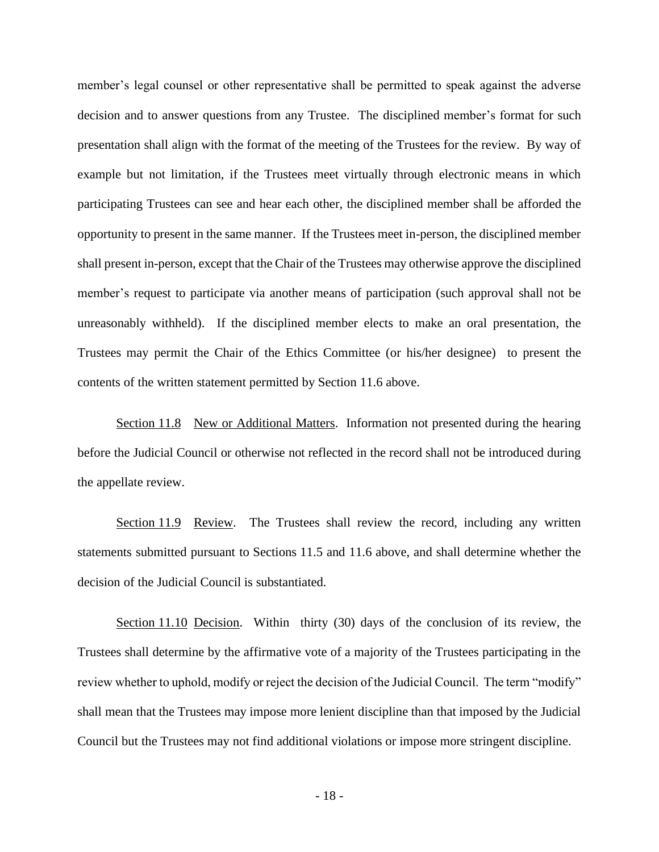member's legal counsel or other representative shall be permitted to speak against the adverse decision and to answer questions from any Trustee. The disciplined member's format for such presentation shall align with the format of the meeting of the Trustees for the review. By way of example but not limitation, if the Trustees meet virtually through electronic means in which participating Trustees can see and hear each other, the disciplined member shall be afforded the opportunity to present in the same manner. If the Trustees meet in-person, the disciplined member shall present in-person, except that the Chair of the Trustees may otherwise approve the disciplined member's request to participate via another means of participation (such approval shall not be unreasonably withheld). If the disciplined member elects to make an oral presentation, the Trustees may permit the Chair of the Ethics Committee (or his/her designee) to present the contents of the written statement permitted by Section 11.6 above.

Section 11.8 New or Additional Matters. Information not presented during the hearing before the Judicial Council or otherwise not reflected in the record shall not be introduced during the appellate review.

Section 11.9 Review. The Trustees shall review the record, including any written statements submitted pursuant to Sections 11.5 and 11.6 above, and shall determine whether the decision of the Judicial Council is substantiated.

Section 11.10 Decision. Within thirty (30) days of the conclusion of its review, the Trustees shall determine by the affirmative vote of a majority of the Trustees participating in the review whether to uphold, modify or reject the decision of the Judicial Council. The term "modify" shall mean that the Trustees may impose more lenient discipline than that imposed by the Judicial Council but the Trustees may not find additional violations or impose more stringent discipline.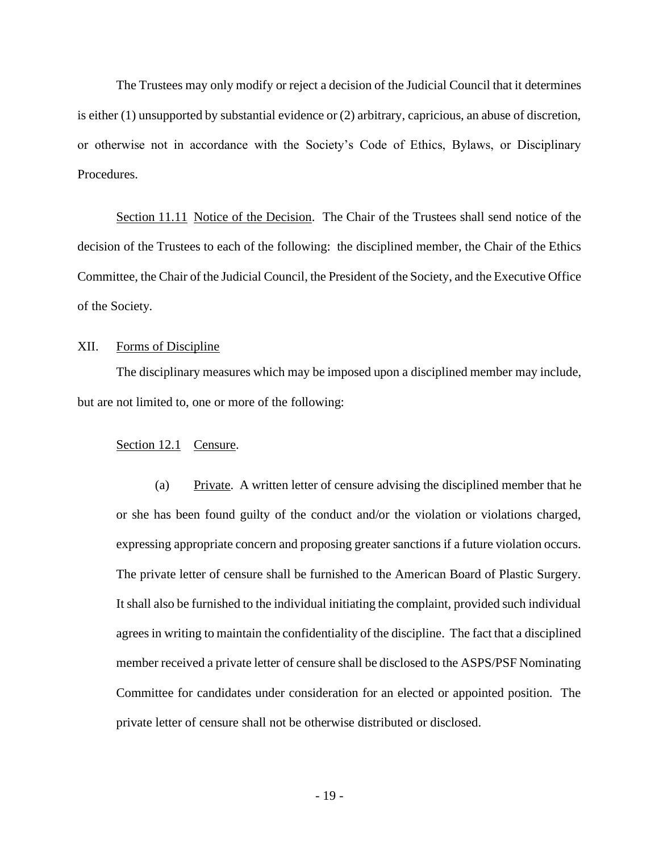The Trustees may only modify or reject a decision of the Judicial Council that it determines is either (1) unsupported by substantial evidence or (2) arbitrary, capricious, an abuse of discretion, or otherwise not in accordance with the Society's Code of Ethics, Bylaws, or Disciplinary Procedures.

Section 11.11 Notice of the Decision. The Chair of the Trustees shall send notice of the decision of the Trustees to each of the following: the disciplined member, the Chair of the Ethics Committee, the Chair of the Judicial Council, the President of the Society, and the Executive Office of the Society.

### XII. Forms of Discipline

The disciplinary measures which may be imposed upon a disciplined member may include, but are not limited to, one or more of the following:

### Section 12.1 Censure.

(a) Private. A written letter of censure advising the disciplined member that he or she has been found guilty of the conduct and/or the violation or violations charged, expressing appropriate concern and proposing greater sanctions if a future violation occurs. The private letter of censure shall be furnished to the American Board of Plastic Surgery. It shall also be furnished to the individual initiating the complaint, provided such individual agrees in writing to maintain the confidentiality of the discipline. The fact that a disciplined member received a private letter of censure shall be disclosed to the ASPS/PSF Nominating Committee for candidates under consideration for an elected or appointed position. The private letter of censure shall not be otherwise distributed or disclosed.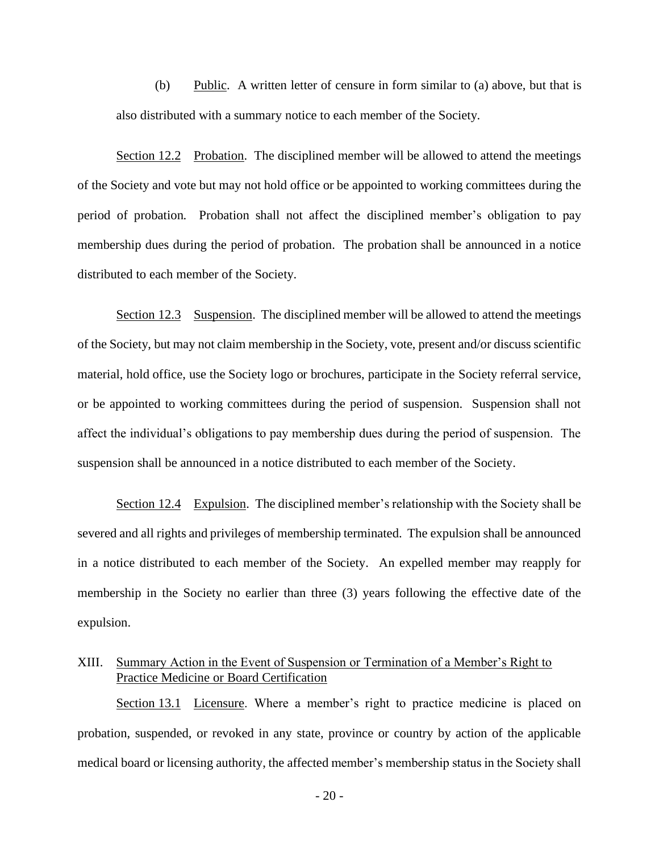(b) Public. A written letter of censure in form similar to (a) above, but that is also distributed with a summary notice to each member of the Society.

Section 12.2 Probation. The disciplined member will be allowed to attend the meetings of the Society and vote but may not hold office or be appointed to working committees during the period of probation. Probation shall not affect the disciplined member's obligation to pay membership dues during the period of probation. The probation shall be announced in a notice distributed to each member of the Society.

Section 12.3 Suspension. The disciplined member will be allowed to attend the meetings of the Society, but may not claim membership in the Society, vote, present and/or discuss scientific material, hold office, use the Society logo or brochures, participate in the Society referral service, or be appointed to working committees during the period of suspension. Suspension shall not affect the individual's obligations to pay membership dues during the period of suspension. The suspension shall be announced in a notice distributed to each member of the Society.

Section 12.4 Expulsion. The disciplined member's relationship with the Society shall be severed and all rights and privileges of membership terminated. The expulsion shall be announced in a notice distributed to each member of the Society. An expelled member may reapply for membership in the Society no earlier than three (3) years following the effective date of the expulsion.

# XIII. Summary Action in the Event of Suspension or Termination of a Member's Right to Practice Medicine or Board Certification

Section 13.1 Licensure. Where a member's right to practice medicine is placed on probation, suspended, or revoked in any state, province or country by action of the applicable medical board or licensing authority, the affected member's membership status in the Society shall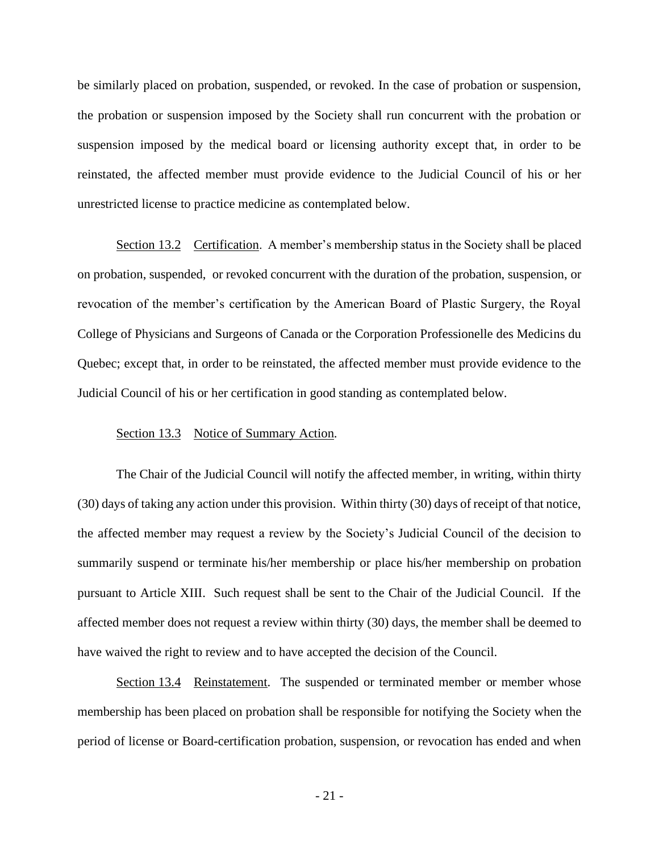be similarly placed on probation, suspended, or revoked. In the case of probation or suspension, the probation or suspension imposed by the Society shall run concurrent with the probation or suspension imposed by the medical board or licensing authority except that, in order to be reinstated, the affected member must provide evidence to the Judicial Council of his or her unrestricted license to practice medicine as contemplated below.

Section 13.2 Certification. A member's membership status in the Society shall be placed on probation, suspended, or revoked concurrent with the duration of the probation, suspension, or revocation of the member's certification by the American Board of Plastic Surgery, the Royal College of Physicians and Surgeons of Canada or the Corporation Professionelle des Medicins du Quebec; except that, in order to be reinstated, the affected member must provide evidence to the Judicial Council of his or her certification in good standing as contemplated below.

### Section 13.3 Notice of Summary Action.

The Chair of the Judicial Council will notify the affected member, in writing, within thirty (30) days of taking any action under this provision. Within thirty (30) days of receipt of that notice, the affected member may request a review by the Society's Judicial Council of the decision to summarily suspend or terminate his/her membership or place his/her membership on probation pursuant to Article XIII. Such request shall be sent to the Chair of the Judicial Council. If the affected member does not request a review within thirty (30) days, the member shall be deemed to have waived the right to review and to have accepted the decision of the Council.

Section 13.4 Reinstatement. The suspended or terminated member or member whose membership has been placed on probation shall be responsible for notifying the Society when the period of license or Board-certification probation, suspension, or revocation has ended and when